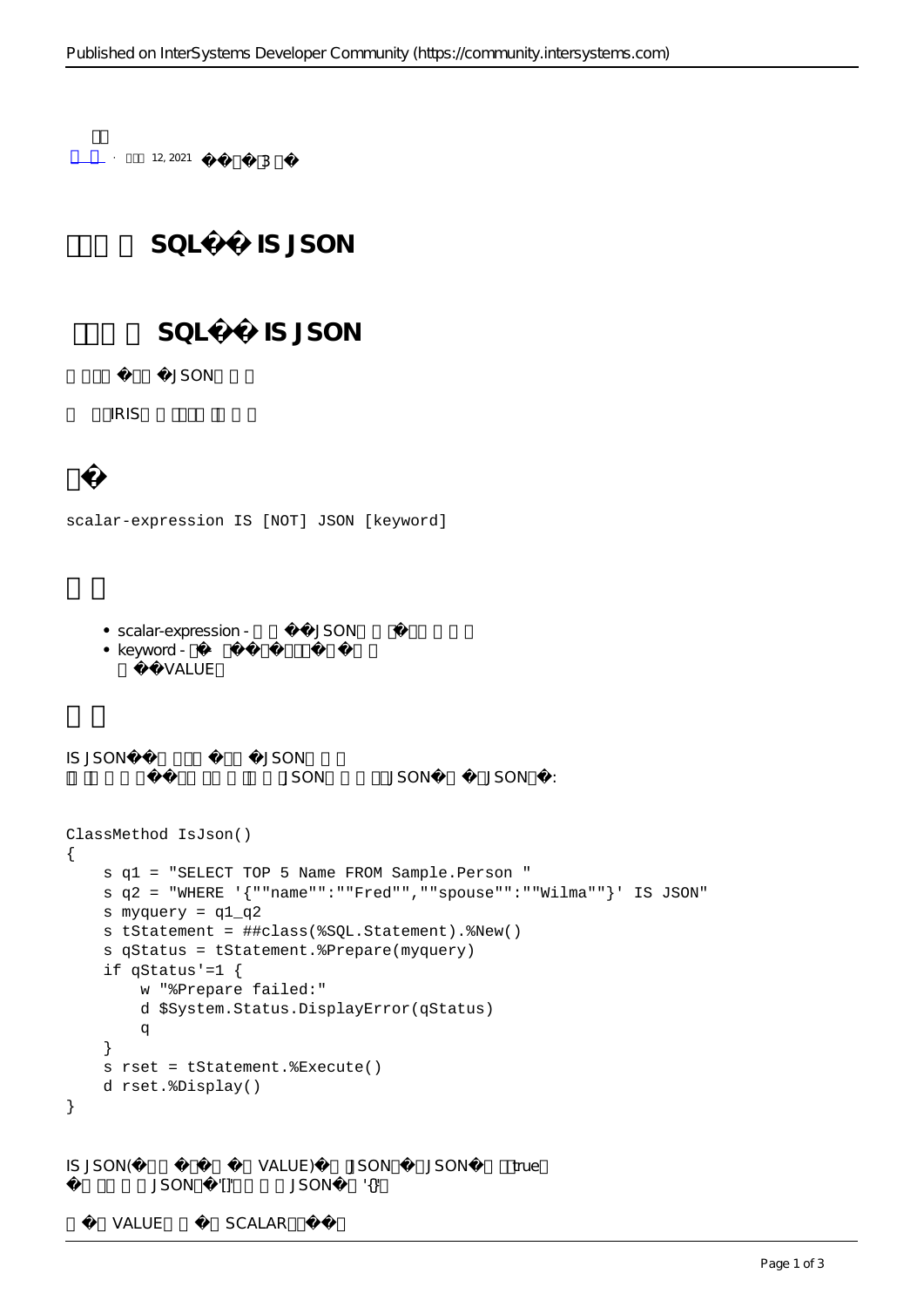```
- + 12, 2021 3
               SOL IS JSON
                SOL IS JSON
                  JSONIRIS
scalar-expression IS [NOT] JSON [keyword]
      • scalar-expression - JSON
      \bullet keyword - \leftarrow默认为VALUE。
IS JSON谓词确定数据值是否为JSON格式。
                                       JSON JSON JSON :
ClassMethod IsJson()
{
       s q1 = "SELECT TOP 5 Name FROM Sample.Person "
       s q2 = "WHERE '{""name"":""Fred"",""spouse"":""Wilma""}' IS JSON"
       s myquery = q1_q2
       s tStatement = ##class(%SQL.Statement).%New()
       s qStatus = tStatement.%Prepare(myquery)
      if qStatus'=1 \{ w "%Prepare failed:" 
              d $System.Status.DisplayError(qStatus) 
              q
       }
       s rset = tStatement.%Execute()
       d rset.%Display()
}
IS JSON(
VALUE)
USON
VALUE JSON
JSON
true
               \begin{minipage}{0.9\linewidth} \begin{tabular}{l} \multicolumn{2}{c}{\textbf{JSON}} \end{tabular} \end{minipage} \begin{minipage}{0.9\linewidth} \begin{tabular}{l} \multicolumn{2}{c}{\textbf{JSON}} \end{tabular} \end{minipage} \begin{minipage}{0.9\linewidth} \begin{tabular}{l} \multicolumn{2}{c}{\textbf{JSON}} \end{tabular} \end{minipage} \begin{minipage}{0.9\linewidth} \begin{tabular}{l} \multicolumn{2}{c}{\textbf{JSON}} \end{tabular} \end{minipage} \begin{minipage}{0.9\linewidth} \begin{tabular}{lVALUE SCALAR
```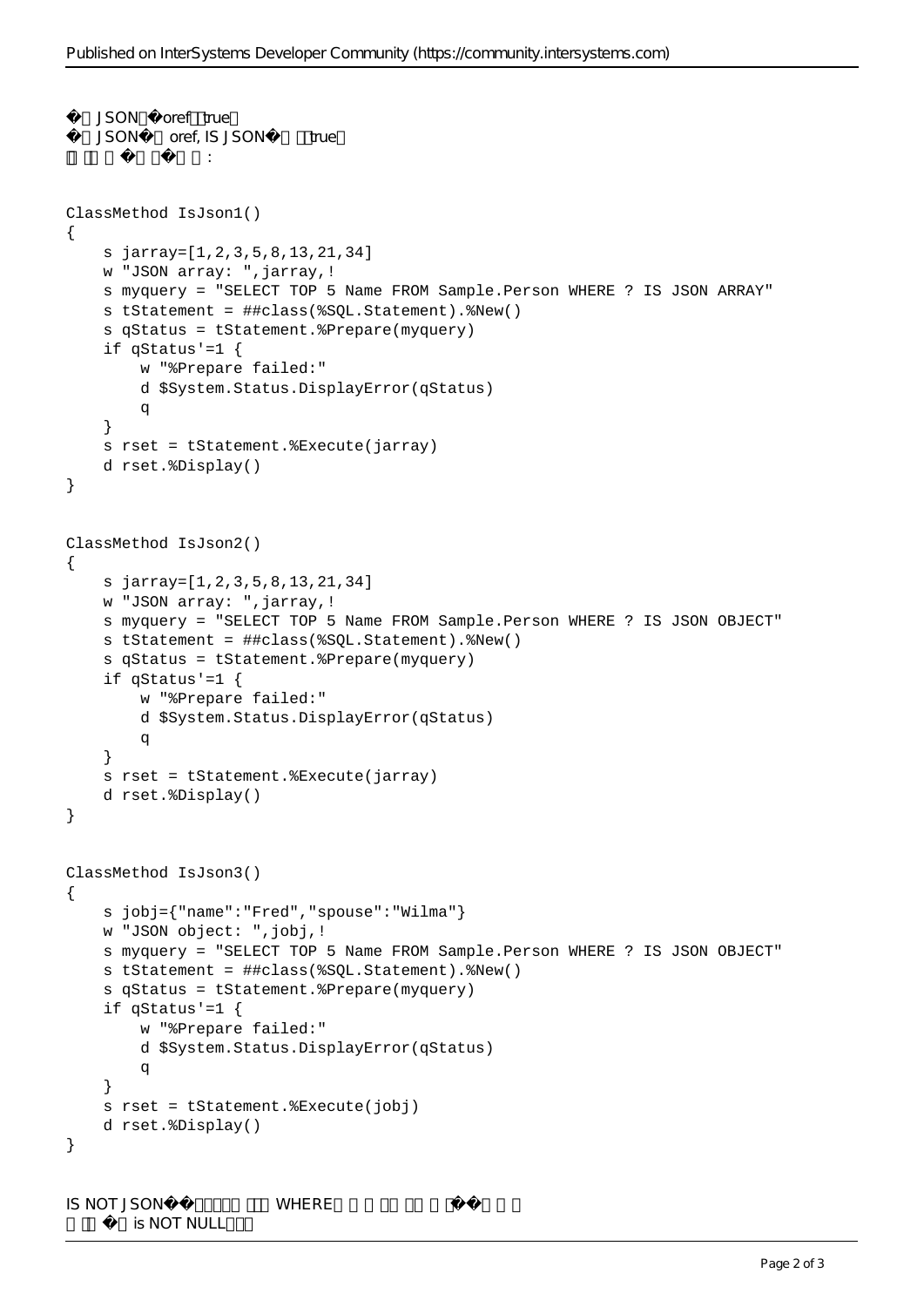```
JSON oref true
   JSON oref, IS JSON true
下面的例子说明了这一点:
ClassMethod IsJson1()
{
     s jarray=[1,2,3,5,8,13,21,34]
     w "JSON array: ",jarray,!
     s myquery = "SELECT TOP 5 Name FROM Sample.Person WHERE ? IS JSON ARRAY"
     s tStatement = ##class(%SQL.Statement).%New()
     s qStatus = tStatement.%Prepare(myquery)
     if qStatus'=1 {
         w "%Prepare failed:" 
         d $System.Status.DisplayError(qStatus) 
q
     }
     s rset = tStatement.%Execute(jarray)
     d rset.%Display()
}
ClassMethod IsJson2()
{
     s jarray=[1,2,3,5,8,13,21,34]
     w "JSON array: ",jarray,!
     s myquery = "SELECT TOP 5 Name FROM Sample.Person WHERE ? IS JSON OBJECT"
     s tStatement = ##class(%SQL.Statement).%New()
     s qStatus = tStatement.%Prepare(myquery)
    if qStatus'=1 \{ w "%Prepare failed:" 
         d $System.Status.DisplayError(qStatus) 
q
     }
     s rset = tStatement.%Execute(jarray)
     d rset.%Display()
}
ClassMethod IsJson3()
{
     s jobj={"name":"Fred","spouse":"Wilma"}
     w "JSON object: ",jobj,!
     s myquery = "SELECT TOP 5 Name FROM Sample.Person WHERE ? IS JSON OBJECT"
     s tStatement = ##class(%SQL.Statement).%New()
     s qStatus = tStatement.%Prepare(myquery)
     if qStatus'=1 {
         w "%Prepare failed:" 
         d $System.Status.DisplayError(qStatus) 
q
     }
     s rset = tStatement.%Execute(jobj)
     d rset.%Display()
}
IS NOT JSON WHERE
       is NOT NULL
```